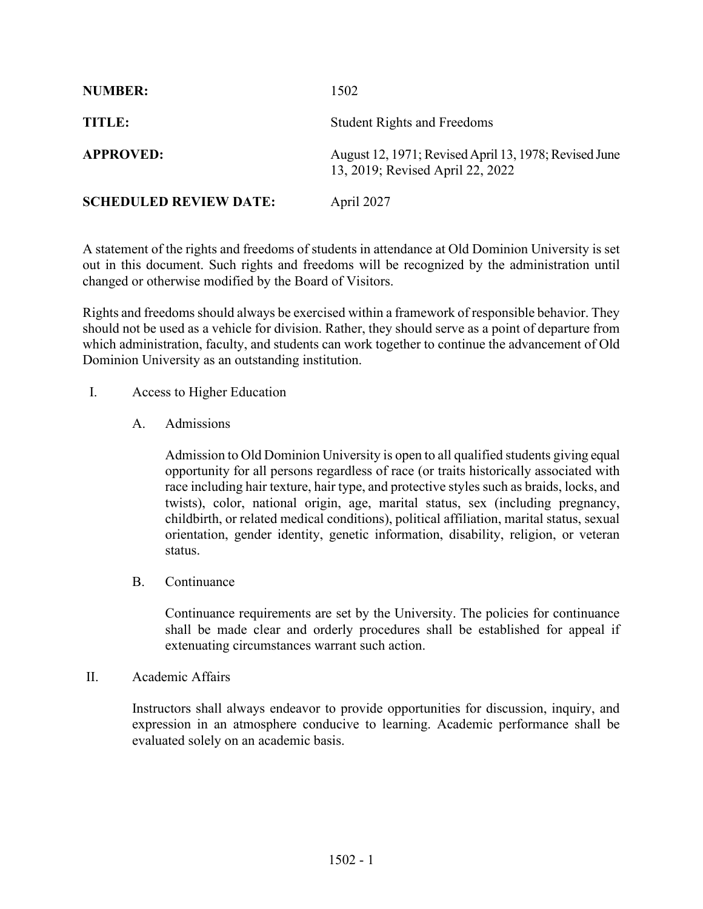| <b>NUMBER:</b>                | 1502                                                                                      |
|-------------------------------|-------------------------------------------------------------------------------------------|
| TITLE:                        | <b>Student Rights and Freedoms</b>                                                        |
| <b>APPROVED:</b>              | August 12, 1971; Revised April 13, 1978; Revised June<br>13, 2019; Revised April 22, 2022 |
| <b>SCHEDULED REVIEW DATE:</b> | April 2027                                                                                |

A statement of the rights and freedoms of students in attendance at Old Dominion University is set out in this document. Such rights and freedoms will be recognized by the administration until changed or otherwise modified by the Board of Visitors.

Rights and freedoms should always be exercised within a framework of responsible behavior. They should not be used as a vehicle for division. Rather, they should serve as a point of departure from which administration, faculty, and students can work together to continue the advancement of Old Dominion University as an outstanding institution.

- I. Access to Higher Education
	- A. Admissions

Admission to Old Dominion University is open to all qualified students giving equal opportunity for all persons regardless of race (or traits historically associated with race including hair texture, hair type, and protective styles such as braids, locks, and twists), color, national origin, age, marital status, sex (including pregnancy, childbirth, or related medical conditions), political affiliation, marital status, sexual orientation, gender identity, genetic information, disability, religion, or veteran status.

B. Continuance

Continuance requirements are set by the University. The policies for continuance shall be made clear and orderly procedures shall be established for appeal if extenuating circumstances warrant such action.

II. Academic Affairs

Instructors shall always endeavor to provide opportunities for discussion, inquiry, and expression in an atmosphere conducive to learning. Academic performance shall be evaluated solely on an academic basis.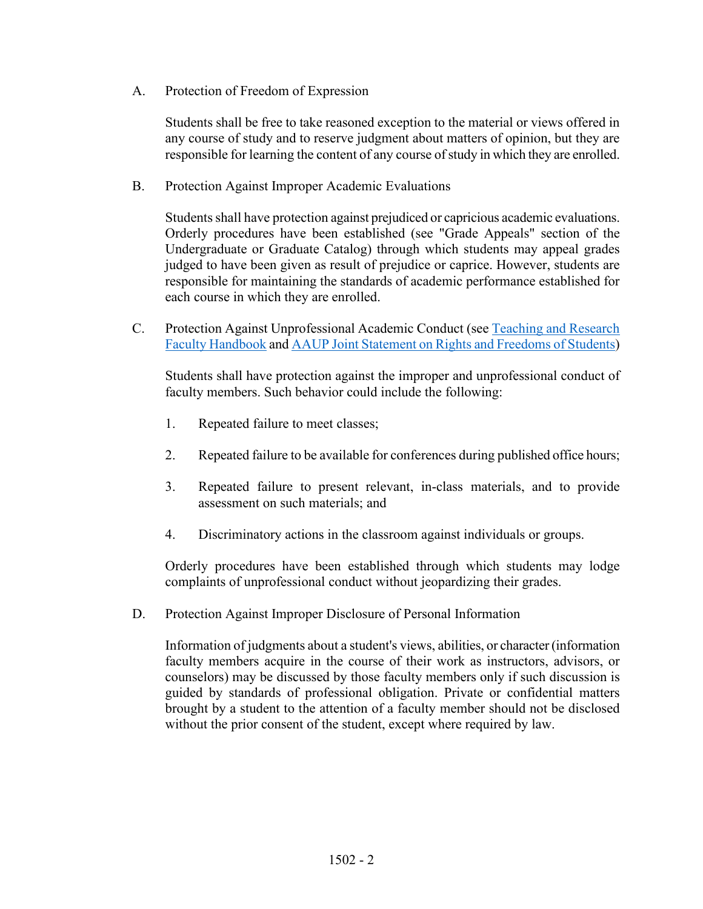A. Protection of Freedom of Expression

Students shall be free to take reasoned exception to the material or views offered in any course of study and to reserve judgment about matters of opinion, but they are responsible for learning the content of any course of study in which they are enrolled.

B. Protection Against Improper Academic Evaluations

Students shall have protection against prejudiced or capricious academic evaluations. Orderly procedures have been established (see "Grade Appeals" section of the Undergraduate or Graduate Catalog) through which students may appeal grades judged to have been given as result of prejudice or caprice. However, students are responsible for maintaining the standards of academic performance established for each course in which they are enrolled.

C. Protection Against Unprofessional Academic Conduct (see [Teaching and Research](https://www.odu.edu/humanresources/employee/handbooks/faculty)  [Faculty Handbook](https://www.odu.edu/humanresources/employee/handbooks/faculty) and [AAUP Joint Statement on Rights and Freedoms of Students\)](https://www.aaup.org/report/joint-statement-rights-and-freedoms-students)

Students shall have protection against the improper and unprofessional conduct of faculty members. Such behavior could include the following:

- 1. Repeated failure to meet classes;
- 2. Repeated failure to be available for conferences during published office hours;
- 3. Repeated failure to present relevant, in-class materials, and to provide assessment on such materials; and
- 4. Discriminatory actions in the classroom against individuals or groups.

Orderly procedures have been established through which students may lodge complaints of unprofessional conduct without jeopardizing their grades.

D. Protection Against Improper Disclosure of Personal Information

Information of judgments about a student's views, abilities, or character (information faculty members acquire in the course of their work as instructors, advisors, or counselors) may be discussed by those faculty members only if such discussion is guided by standards of professional obligation. Private or confidential matters brought by a student to the attention of a faculty member should not be disclosed without the prior consent of the student, except where required by law.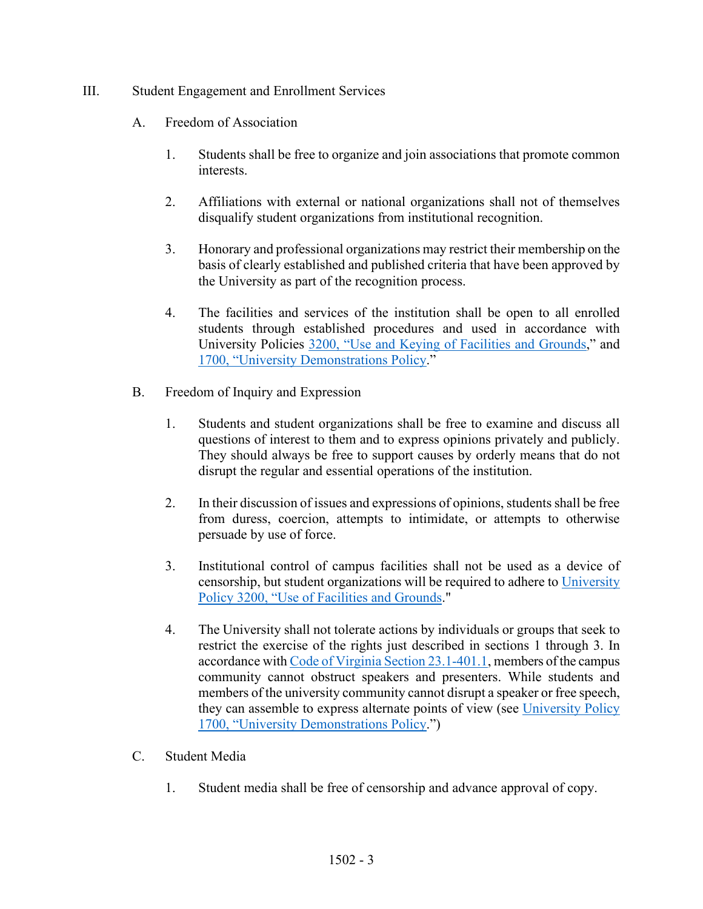## III. Student Engagement and Enrollment Services

- A. Freedom of Association
	- 1. Students shall be free to organize and join associations that promote common interests.
	- 2. Affiliations with external or national organizations shall not of themselves disqualify student organizations from institutional recognition.
	- 3. Honorary and professional organizations may restrict their membership on the basis of clearly established and published criteria that have been approved by the University as part of the recognition process.
	- 4. The facilities and services of the institution shall be open to all enrolled students through established procedures and used in accordance with University Policies [3200, "Use and Keying of Facilities and Grounds,](https://www.odu.edu/about/policiesandprocedures/university/3000/3200)" and [1700, "University Demonstrations Policy.](https://www.odu.edu/about/policiesandprocedures/university/1000/1700)"
- B. Freedom of Inquiry and Expression
	- 1. Students and student organizations shall be free to examine and discuss all questions of interest to them and to express opinions privately and publicly. They should always be free to support causes by orderly means that do not disrupt the regular and essential operations of the institution.
	- 2. In their discussion of issues and expressions of opinions, students shall be free from duress, coercion, attempts to intimidate, or attempts to otherwise persuade by use of force.
	- 3. Institutional control of campus facilities shall not be used as a device of censorship, but student organizations will be required to adhere to University [Policy 3200, "Use of Facilities](https://www.odu.edu/about/policiesandprocedures/university/3000/3200) and Grounds."
	- 4. The University shall not tolerate actions by individuals or groups that seek to restrict the exercise of the rights just described in sections 1 through 3. In accordance wit[h Code of Virginia Section 23.1-401.1,](https://law.lis.virginia.gov/vacode/23.1-401.1/) members of the campus community cannot obstruct speakers and presenters. While students and members of the university community cannot disrupt a speaker or free speech, they can assemble to express alternate points of view (see [University Policy](https://www.odu.edu/about/policiesandprocedures/university/1000/1700)  [1700, "University Demonstrations Policy.](https://www.odu.edu/about/policiesandprocedures/university/1000/1700)")
- C. Student Media
	- 1. Student media shall be free of censorship and advance approval of copy.